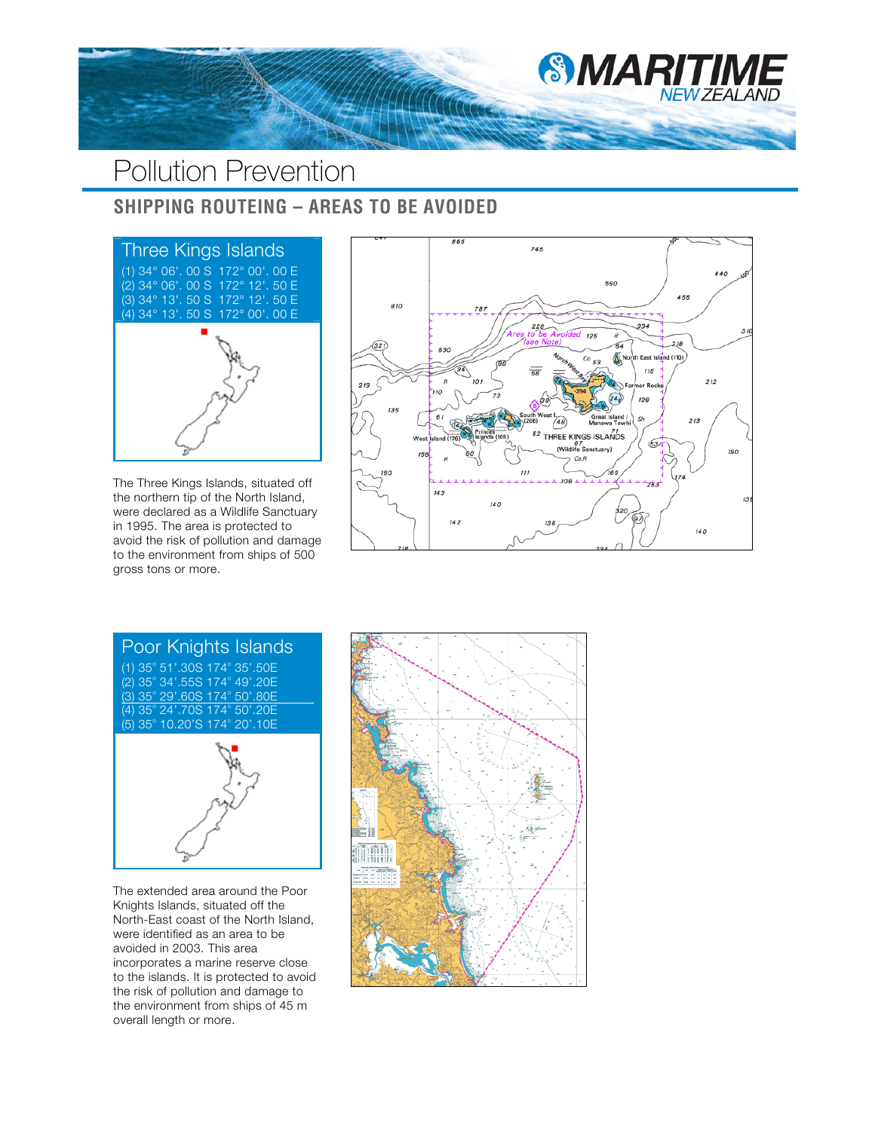

## Pollution Prevention

## **SHIPPING ROUTEING – AREAS TO BE AVOIDED**



The Three Kings Islands, situated off the northern tip of the North Island, were declared as a Wildlife Sanctuary in 1995. The area is protected to avoid the risk of pollution and damage to the environment from ships of 500 gross tons or more.





The extended area around the Poor Knights Islands, situated off the North-East coast of the North Island, were identified as an area to be avoided in 2003. This area incorporates a marine reserve close to the islands. It is protected to avoid the risk of pollution and damage to the environment from ships of 45 m overall length or more.